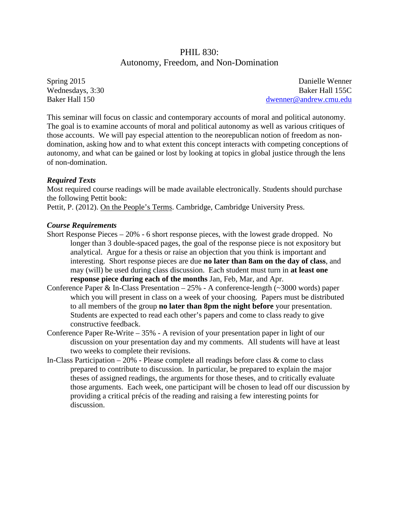# PHIL 830: Autonomy, Freedom, and Non-Domination

Spring 2015 Wednesdays, 3:30 Baker Hall 150

Danielle Wenner Baker Hall 155C [dwenner@andrew.cmu.edu](mailto:dwenner@andrew.cmu.edu)

This seminar will focus on classic and contemporary accounts of moral and political autonomy. The goal is to examine accounts of moral and political autonomy as well as various critiques of those accounts. We will pay especial attention to the neorepublican notion of freedom as nondomination, asking how and to what extent this concept interacts with competing conceptions of autonomy, and what can be gained or lost by looking at topics in global justice through the lens of non-domination.

## *Required Texts*

Most required course readings will be made available electronically. Students should purchase the following Pettit book:

Pettit, P. (2012). On the People's Terms. Cambridge, Cambridge University Press.

### *Course Requirements*

- Short Response Pieces 20% 6 short response pieces, with the lowest grade dropped. No longer than 3 double-spaced pages, the goal of the response piece is not expository but analytical. Argue for a thesis or raise an objection that you think is important and interesting. Short response pieces are due **no later than 8am on the day of class**, and may (will) be used during class discussion. Each student must turn in **at least one response piece during each of the months** Jan, Feb, Mar, and Apr.
- Conference Paper & In-Class Presentation  $-25%$  A conference-length ( $\sim$ 3000 words) paper which you will present in class on a week of your choosing. Papers must be distributed to all members of the group **no later than 8pm the night before** your presentation. Students are expected to read each other's papers and come to class ready to give constructive feedback.
- Conference Paper Re-Write 35% A revision of your presentation paper in light of our discussion on your presentation day and my comments. All students will have at least two weeks to complete their revisions.
- In-Class Participation  $-20\%$  Please complete all readings before class  $\&$  come to class prepared to contribute to discussion. In particular, be prepared to explain the major theses of assigned readings, the arguments for those theses, and to critically evaluate those arguments. Each week, one participant will be chosen to lead off our discussion by providing a critical précis of the reading and raising a few interesting points for discussion.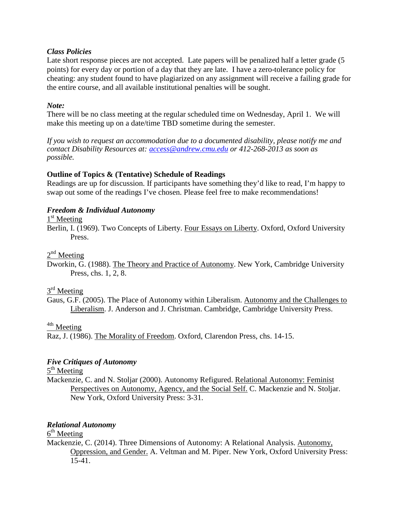#### *Class Policies*

Late short response pieces are not accepted. Late papers will be penalized half a letter grade (5 points) for every day or portion of a day that they are late. I have a zero-tolerance policy for cheating: any student found to have plagiarized on any assignment will receive a failing grade for the entire course, and all available institutional penalties will be sought.

### *Note:*

There will be no class meeting at the regular scheduled time on Wednesday, April 1. We will make this meeting up on a date/time TBD sometime during the semester.

*If you wish to request an accommodation due to a documented disability, please notify me and contact Disability Resources at: [access@andrew.cmu.edu](mailto:access@andrew.cmu.edu) or 412-268-2013 as soon as possible.*

### **Outline of Topics & (Tentative) Schedule of Readings**

Readings are up for discussion. If participants have something they'd like to read, I'm happy to swap out some of the readings I've chosen. Please feel free to make recommendations!

### *Freedom & Individual Autonomy*

 $1<sup>st</sup>$  Meeting

Berlin, I. (1969). Two Concepts of Liberty. Four Essays on Liberty. Oxford, Oxford University Press.

 $2<sup>nd</sup>$  Meeting

Dworkin, G. (1988). The Theory and Practice of Autonomy. New York, Cambridge University Press, chs. 1, 2, 8.

# $3<sup>rd</sup>$  Meeting

Gaus, G.F. (2005). The Place of Autonomy within Liberalism. Autonomy and the Challenges to Liberalism. J. Anderson and J. Christman. Cambridge, Cambridge University Press.

<sup>4th</sup> Meeting

Raz, J. (1986). The Morality of Freedom. Oxford, Clarendon Press, chs. 14-15.

## *Five Critiques of Autonomy*

5<sup>th</sup> Meeting

Mackenzie, C. and N. Stoljar (2000). Autonomy Refigured. Relational Autonomy: Feminist Perspectives on Autonomy, Agency, and the Social Self. C. Mackenzie and N. Stoljar. New York, Oxford University Press: 3-31.

## *Relational Autonomy*

 $6<sup>th</sup>$  Meeting

Mackenzie, C. (2014). Three Dimensions of Autonomy: A Relational Analysis. Autonomy, Oppression, and Gender. A. Veltman and M. Piper. New York, Oxford University Press: 15-41.